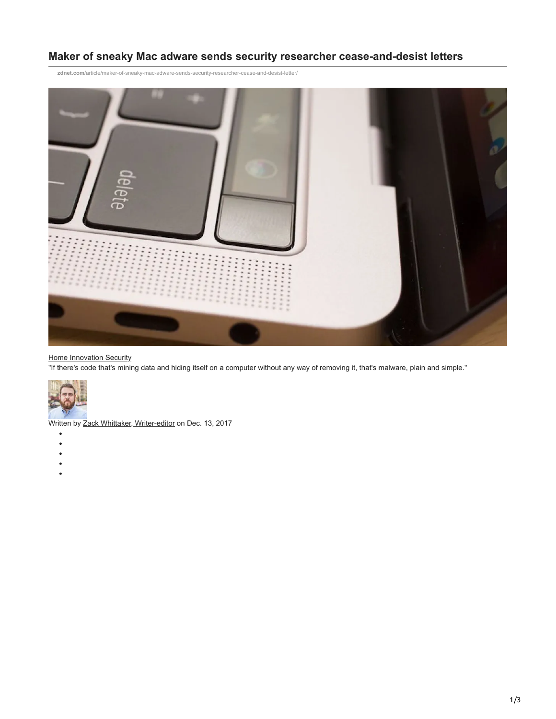## **Maker of sneaky Mac adware sends security researcher cease-and-desist letters**

**zdnet.com**[/article/maker-of-sneaky-mac-adware-sends-security-researcher-cease-and-desist-letter/](http://www.zdnet.com/article/maker-of-sneaky-mac-adware-sends-security-researcher-cease-and-desist-letter/)



## **[Home](http://www.zdnet.com/) [Innovation](http://www.zdnet.com/topic/innovation/) [Security](http://www.zdnet.com/topic/security/)**

"If there's code that's mining data and hiding itself on a computer without any way of removing it, that's malware, plain and simple."



Written by Zack Whittaker, Writer-editor on Dec. 13, 2017

- $\bullet$
- $\bullet$
- $\bullet$
- $\bullet$
-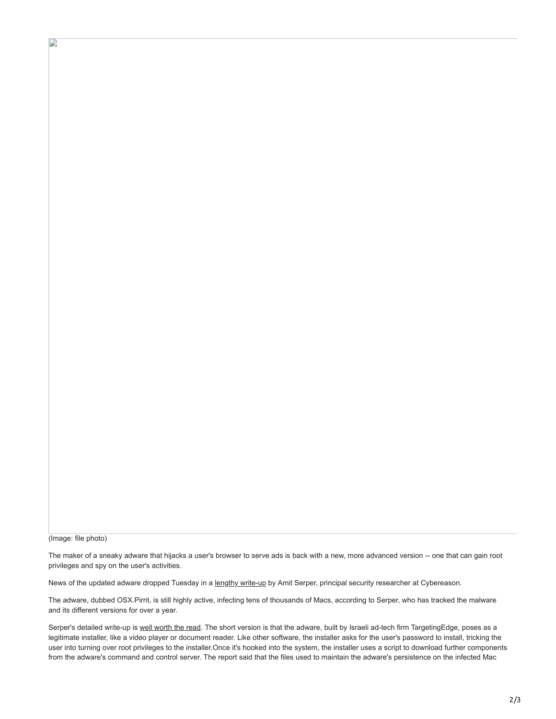(Image: file photo)

D

The maker of a sneaky adware that hijacks a user's browser to serve ads is back with a new, more advanced version -- one that can gain root privileges and spy on the user's activities.

News of the updated adware dropped Tuesday in a [lengthy write-up](https://www.cybereason.com/blog/targetingedge-mac-os-x-pirrit-malware-adware-still-active) by Amit Serper, principal security researcher at Cybereason.

The adware, dubbed OSX.Pirrit, is still highly active, infecting tens of thousands of Macs, according to Serper, who has tracked the malware and its different versions for over a year.

Serper's detailed write-up is [well worth the read](https://www.cybereason.com/blog/targetingedge-mac-os-x-pirrit-malware-adware-still-active). The short version is that the adware, built by Israeli ad-tech firm TargetingEdge, poses as a legitimate installer, like a video player or document reader. Like other software, the installer asks for the user's password to install, tricking the user into turning over root privileges to the installer.Once it's hooked into the system, the installer uses a script to download further components from the adware's command and control server. The report said that the files used to maintain the adware's persistence on the infected Mac